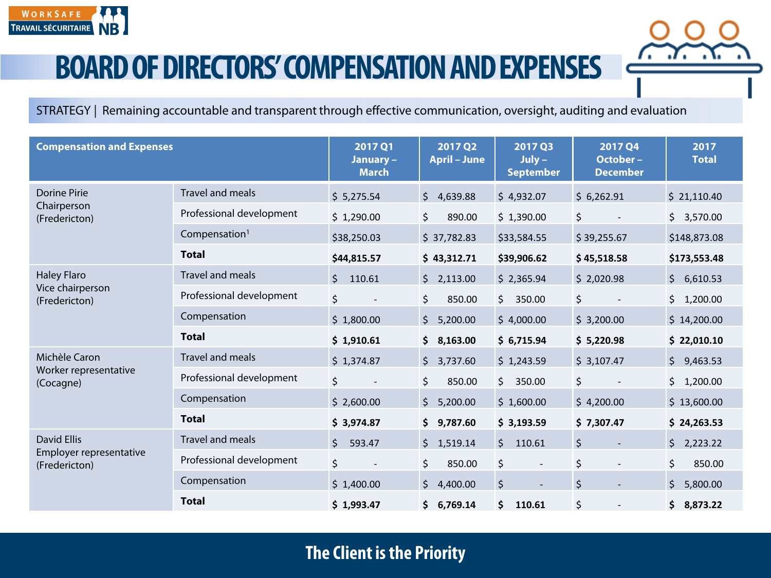

STRATEGY | Remaining accountable and transparent through effective communication, oversight, auditing and evaluation

| <b>Compensation and Expenses</b>                               |                           | 2017 Q1<br>January-<br><b>March</b> | 2017 Q2<br><b>April - June</b> | 2017 Q3<br>$July -$<br><b>September</b> | 2017 Q4<br>October-<br><b>December</b> | 2017<br><b>Total</b> |
|----------------------------------------------------------------|---------------------------|-------------------------------------|--------------------------------|-----------------------------------------|----------------------------------------|----------------------|
| <b>Dorine Pirie</b><br>Chairperson<br>(Fredericton)            | <b>Travel and meals</b>   | \$5,275.54                          | \$<br>4,639.88                 | \$4,932.07                              | \$6,262.91                             | \$21,110.40          |
|                                                                | Professional development  | \$1,290.00                          | \$<br>890.00                   | \$1,390.00                              | $\zeta$                                | \$3,570.00           |
|                                                                | Compensation <sup>1</sup> | \$38,250.03                         | \$37,782.83                    | \$33,584.55                             | \$39,255.67                            | \$148,873.08         |
|                                                                | <b>Total</b>              | \$44,815.57                         | \$43,312.71                    | \$39,906.62                             | \$45,518.58                            | \$173,553.48         |
| <b>Haley Flaro</b><br>Vice chairperson<br>(Fredericton)        | Travel and meals          | $\zeta$<br>110.61                   | 2,113.00<br>\$                 | \$2,365.94                              | \$2,020.98                             | 6,610.53<br>$\zeta$  |
|                                                                | Professional development  | \$<br>$\overline{\phantom{a}}$      | \$<br>850.00                   | \$.<br>350.00                           | \$                                     | \$1,200.00           |
|                                                                | Compensation              | \$1,800.00                          | \$<br>5,200.00                 | \$4,000.00                              | \$3,200.00                             | \$14,200.00          |
|                                                                | <b>Total</b>              | \$1,910.61                          | \$<br>8,163.00                 | \$6,715.94                              | \$5,220.98                             | \$22,010.10          |
| Michèle Caron                                                  | Travel and meals          | \$1,374.87                          | \$<br>3,737.60                 | \$1,243.59                              | \$3,107.47                             | \$9,463.53           |
| Worker representative<br>(Cocagne)                             | Professional development  | \$                                  | \$<br>850.00                   | Ś.<br>350.00                            | \$                                     | Ś.<br>1,200.00       |
|                                                                | Compensation              | \$2,600.00                          | \$<br>5,200.00                 | \$1,600.00                              | \$4,200.00                             | \$13,600.00          |
|                                                                | <b>Total</b>              | \$3,974.87                          | \$<br>9,787.60                 | \$3,193.59                              | \$7,307.47                             | \$24,263.53          |
| <b>David Ellis</b><br>Employer representative<br>(Fredericton) | <b>Travel and meals</b>   | $\mathsf{\hat{S}}$<br>593.47        | $\zeta$<br>1,519.14            | $\mathsf{S}$<br>110.61                  | $\zeta$                                | $\zeta$<br>2,223.22  |
|                                                                | Professional development  | \$                                  | \$<br>850.00                   | \$                                      | \$                                     | \$<br>850.00         |
|                                                                | Compensation              | \$1,400.00                          | \$<br>4,400.00                 | $\zeta$                                 | \$                                     | \$<br>5,800.00       |
|                                                                | <b>Total</b>              | \$1,993.47                          | \$<br>6,769.14                 | Ś.<br>110.61                            | \$<br>$\overline{\phantom{a}}$         | \$<br>8,873.22       |

## **The Client is the Priority**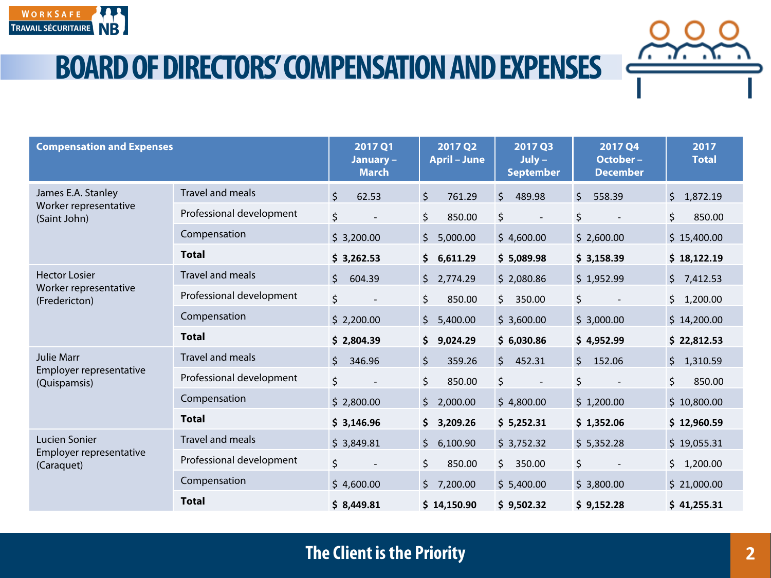

| <b>Compensation and Expenses</b>                               |                          | 2017 Q1<br>January -<br><b>March</b> | 2017 Q2<br><b>April - June</b> | 2017 Q3<br>$July -$<br><b>September</b> | 2017 Q4<br>October-<br><b>December</b> | 2017<br><b>Total</b> |
|----------------------------------------------------------------|--------------------------|--------------------------------------|--------------------------------|-----------------------------------------|----------------------------------------|----------------------|
| James E.A. Stanley<br>Worker representative<br>(Saint John)    | Travel and meals         | $\zeta$<br>62.53                     | \$<br>761.29                   | \$<br>489.98                            | \$<br>558.39                           | \$1,872.19           |
|                                                                | Professional development | \$                                   | \$<br>850.00                   | \$                                      | \$                                     | \$<br>850.00         |
|                                                                | Compensation             | \$3,200.00                           | $\zeta$<br>5,000.00            | \$4,600.00                              | \$2,600.00                             | \$15,400.00          |
|                                                                | <b>Total</b>             | \$3,262.53                           | 6,611.29<br>\$                 | \$5,089.98                              | \$3,158.39                             | \$18,122.19          |
| <b>Hector Losier</b><br>Worker representative<br>(Fredericton) | <b>Travel and meals</b>  | \$<br>604.39                         | \$<br>2,774.29                 | \$2,080.86                              | \$1,952.99                             | \$7,412.53           |
|                                                                | Professional development | \$<br>$\overline{\phantom{a}}$       | \$<br>850.00                   | \$<br>350.00                            | \$                                     | \$1,200.00           |
|                                                                | Compensation             | \$2,200.00                           | \$<br>5,400.00                 | \$3,600.00                              | \$3,000.00                             | \$14,200.00          |
|                                                                | <b>Total</b>             | \$2,804.39                           | \$<br>9,024.29                 | \$6,030.86                              | \$4,952.99                             | \$22,812.53          |
| <b>Julie Marr</b><br>Employer representative<br>(Quispamsis)   | <b>Travel and meals</b>  | \$<br>346.96                         | \$<br>359.26                   | 452.31<br>Ś.                            | \$<br>152.06                           | \$1,310.59           |
|                                                                | Professional development | \$                                   | \$<br>850.00                   | \$                                      | \$                                     | \$<br>850.00         |
|                                                                | Compensation             | \$2,800.00                           | \$<br>2,000.00                 | \$4,800.00                              | \$1,200.00                             | \$10,800.00          |
|                                                                | <b>Total</b>             | \$3,146.96                           | \$<br>3,209.26                 | \$5,252.31                              | \$1,352.06                             | \$12,960.59          |
| Lucien Sonier<br>Employer representative<br>(Caraquet)         | <b>Travel and meals</b>  | \$3,849.81                           | \$<br>6,100.90                 | \$3,752.32                              | \$5,352.28                             | \$19,055.31          |
|                                                                | Professional development | \$                                   | \$<br>850.00                   | Ŝ.<br>350.00                            | \$                                     | \$1,200.00           |
|                                                                | Compensation             | \$4,600.00                           | \$<br>7,200.00                 | \$5,400.00                              | \$3,800.00                             | \$21,000.00          |
|                                                                | <b>Total</b>             | \$8,449.81                           | \$14,150.90                    | \$9,502.32                              | \$9,152.28                             | \$41,255.31          |

### **The Client is the Priority**

7. . 7. . X.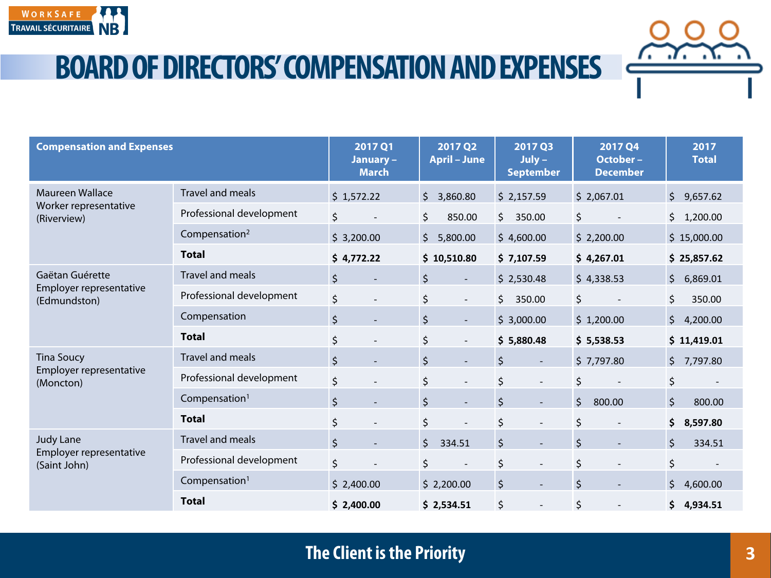

| <b>Compensation and Expenses</b>                               |                           | 2017 Q1<br>January -<br><b>March</b> | 2017 Q2<br><b>April - June</b>      | 2017 Q3<br>$July -$<br><b>September</b> | 2017 Q4<br>October-<br><b>December</b> | 2017<br><b>Total</b> |
|----------------------------------------------------------------|---------------------------|--------------------------------------|-------------------------------------|-----------------------------------------|----------------------------------------|----------------------|
| <b>Maureen Wallace</b><br>Worker representative<br>(Riverview) | <b>Travel and meals</b>   | \$1,572.22                           | \$<br>3,860.80                      | \$2,157.59                              | \$2,067.01                             | $\zeta$<br>9,657.62  |
|                                                                | Professional development  | \$                                   | \$<br>850.00                        | 350.00<br>\$                            | \$                                     | \$<br>1,200.00       |
|                                                                | Compensation <sup>2</sup> | \$3,200.00                           | $\zeta$<br>5,800.00                 | \$4,600.00                              | \$2,200.00                             | \$15,000.00          |
|                                                                | <b>Total</b>              | \$4,772.22                           | \$10,510.80                         | \$7,107.59                              | \$4,267.01                             | \$25,857.62          |
| Gaëtan Guérette<br>Employer representative<br>(Edmundston)     | <b>Travel and meals</b>   | $\zeta$                              | $\zeta$<br>$\overline{\phantom{a}}$ | \$2,530.48                              | \$4,338.53                             | \$<br>6,869.01       |
|                                                                | Professional development  | \$<br>$\overline{\phantom{a}}$       | \$<br>$\overline{\phantom{a}}$      | \$<br>350.00                            | \$                                     | \$<br>350.00         |
|                                                                | Compensation              | \$<br>$\overline{\phantom{a}}$       | $\zeta$<br>$\overline{\phantom{a}}$ | \$3,000.00                              | \$1,200.00                             | \$<br>4,200.00       |
|                                                                | <b>Total</b>              | \$<br>$\overline{\phantom{a}}$       | \$<br>$\overline{\phantom{a}}$      | \$5,880.48                              | \$5,538.53                             | \$11,419.01          |
| <b>Tina Soucy</b><br>Employer representative<br>(Moncton)      | <b>Travel and meals</b>   | $\zeta$                              | $\zeta$                             | \$<br>$\overline{\phantom{a}}$          | \$7,797.80                             | $\zeta$<br>7,797.80  |
|                                                                | Professional development  | \$<br>$\overline{a}$                 | $\zeta$<br>$\overline{\phantom{a}}$ | \$<br>$\overline{\phantom{a}}$          | \$                                     | \$                   |
|                                                                | Compensation <sup>1</sup> | $\zeta$                              | $\zeta$                             | $\zeta$<br>$\overline{\phantom{a}}$     | $\zeta$<br>800.00                      | $\zeta$<br>800.00    |
|                                                                | <b>Total</b>              | \$                                   | \$                                  | \$<br>$\overline{\phantom{a}}$          | \$                                     | \$<br>8,597.80       |
| Judy Lane<br>Employer representative<br>(Saint John)           | <b>Travel and meals</b>   | $\zeta$                              | $\zeta$<br>334.51                   | $\zeta$<br>$\overline{a}$               | $\zeta$                                | $\zeta$<br>334.51    |
|                                                                | Professional development  | \$                                   | $\zeta$                             | \$<br>$\overline{a}$                    | \$                                     | \$                   |
|                                                                | Compensation <sup>1</sup> | \$2,400.00                           | \$2,200.00                          | $\zeta$<br>$\overline{\phantom{0}}$     | \$                                     | \$<br>4,600.00       |
|                                                                | <b>Total</b>              | \$2,400.00                           | \$2,534.51                          | \$<br>$\overline{\phantom{a}}$          | \$                                     | \$<br>4,934.51       |

#### **The Client is the Priority**

7. . 7. . X.